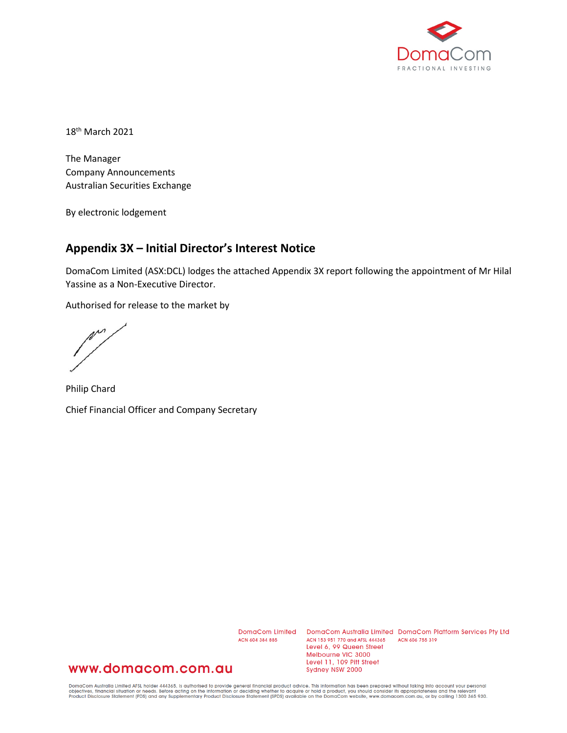

18<sup>th</sup> March 2021

The Manager Company Announcements Australian Securities Exchange

By electronic lodgement

## **Appendix 3X – Initial Director's Interest Notice**

DomaCom Limited (ASX:DCL) lodges the attached Appendix 3X report following the appointment of Mr Hilal Yassine as a Non-Executive Director.

Authorised for release to the market by

m

Philip Chard Chief Financial Officer and Company Secretary

ACN 604 384 885

DomaCom Limited DomaCom Australia Limited DomaCom Platform Services Pty Ltd ACN 153 951 770 and AFSL 444365 ACN 606 755 319 Level 6, 99 Queen Street Melbourne VIC 3000 Level 11, 109 Pitt Street Sydney NSW 2000

## www.domacom.com.au

DomaCom Australia Limited AFSL holder 444365, is authorised to provide general financial product advice. This information has been prepared without taking into account your personal<br>objectives, financial situation or needs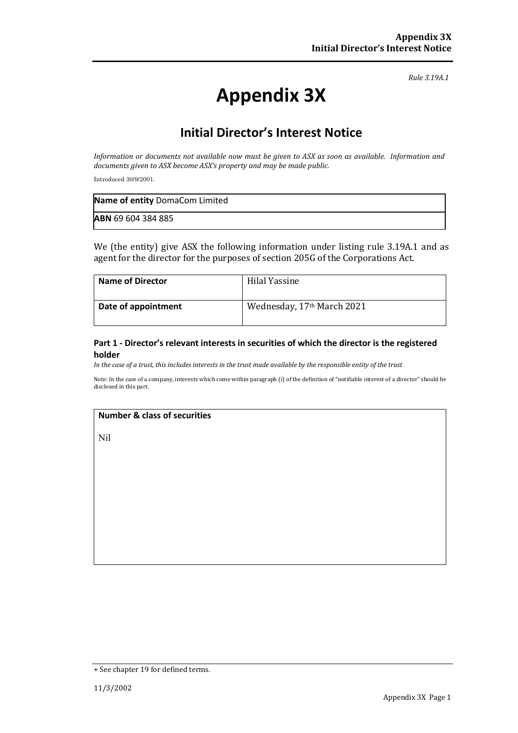*Rule 3.19A.1*

# **Appendix 3X**

# **Initial Director's Interest Notice**

*Information or documents not available now must be given to ASX as soon as available. Information and documents given to ASX become ASX's property and may be made public.*

Introduced 30/9/2001.

| Name of entity DomaCom Limited |
|--------------------------------|
| <b>ABN 69 604 384 885</b>      |

We (the entity) give ASX the following information under listing rule 3.19A.1 and as agent for the director for the purposes of section 205G of the Corporations Act.

| <b>Name of Director</b> | Hilal Yassine              |
|-------------------------|----------------------------|
| Date of appointment     | Wednesday, 17th March 2021 |

#### **Part 1 - Director's relevant interests in securities of which the director is the registered holder**

*In the case of a trust, this includes interests in the trust made available by the responsible entity of the trust*

Note: In the case of a company, interests which come within paragraph (i) of the definition of "notifiable interest of a director" should be disclosed in this part.

#### **Number & class of securities**

Nil

<sup>+</sup> See chapter 19 for defined terms.